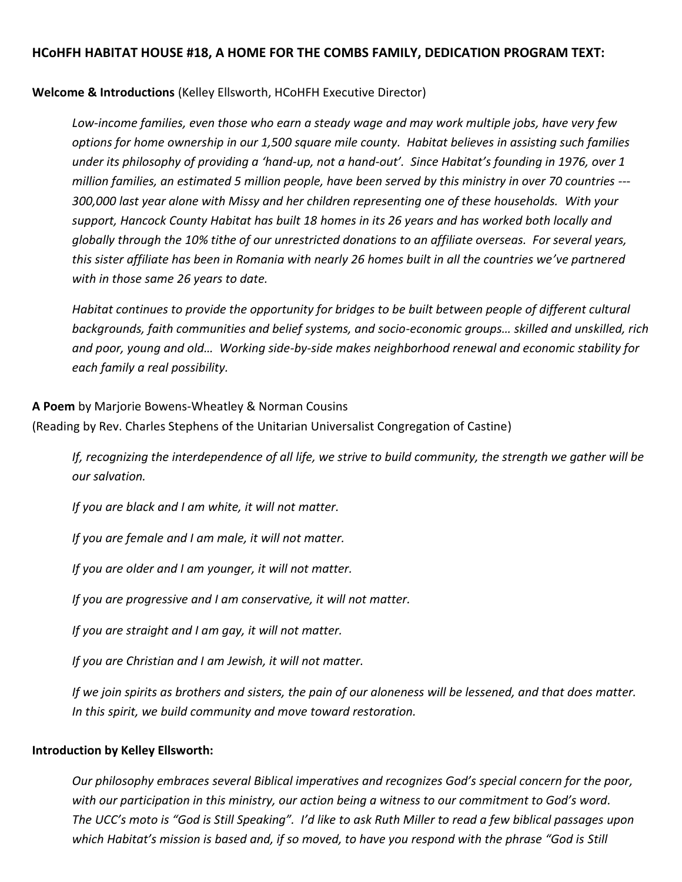# **HCoHFH HABITAT HOUSE #18, A HOME FOR THE COMBS FAMILY, DEDICATION PROGRAM TEXT:**

**Welcome & Introductions** (Kelley Ellsworth, HCoHFH Executive Director)

*Low-income families, even those who earn a steady wage and may work multiple jobs, have very few options for home ownership in our 1,500 square mile county. Habitat believes in assisting such families under its philosophy of providing a 'hand-up, not a hand-out'. Since Habitat's founding in 1976, over 1 million families, an estimated 5 million people, have been served by this ministry in over 70 countries --- 300,000 last year alone with Missy and her children representing one of these households. With your support, Hancock County Habitat has built 18 homes in its 26 years and has worked both locally and globally through the 10% tithe of our unrestricted donations to an affiliate overseas. For several years, this sister affiliate has been in Romania with nearly 26 homes built in all the countries we've partnered with in those same 26 years to date.*

*Habitat continues to provide the opportunity for bridges to be built between people of different cultural backgrounds, faith communities and belief systems, and socio-economic groups… skilled and unskilled, rich and poor, young and old… Working side-by-side makes neighborhood renewal and economic stability for each family a real possibility.* 

**A Poem** by Marjorie Bowens-Wheatley & Norman Cousins (Reading by Rev. Charles Stephens of the Unitarian Universalist Congregation of Castine)

*If, recognizing the interdependence of all life, we strive to build community, the strength we gather will be our salvation.*

*If you are black and I am white, it will not matter.*

*If you are female and I am male, it will not matter.*

*If you are older and I am younger, it will not matter.*

*If you are progressive and I am conservative, it will not matter.*

*If you are straight and I am gay, it will not matter.*

*If you are Christian and I am Jewish, it will not matter.*

*If we join spirits as brothers and sisters, the pain of our aloneness will be lessened, and that does matter. In this spirit, we build community and move toward restoration.*

## **Introduction by Kelley Ellsworth:**

*Our philosophy embraces several Biblical imperatives and recognizes God's special concern for the poor, with our participation in this ministry, our action being a witness to our commitment to God's word. The UCC's moto is "God is Still Speaking". I'd like to ask Ruth Miller to read a few biblical passages upon*  which Habitat's mission is based and, if so moved, to have you respond with the phrase "God is Still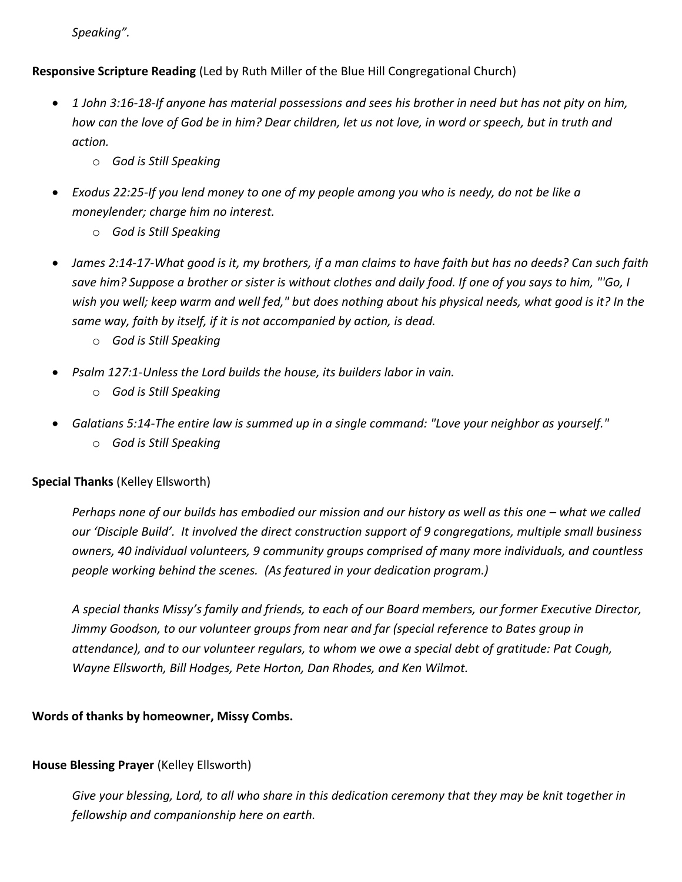*Speaking".*

**Responsive Scripture Reading** (Led by Ruth Miller of the Blue Hill Congregational Church)

- *1 John 3:16-18-If anyone has material possessions and sees his brother in need but has not pity on him, how can the love of God be in him? Dear children, let us not love, in word or speech, but in truth and action.*
	- o *God is Still Speaking*
- *Exodus 22:25-If you lend money to one of my people among you who is needy, do not be like a moneylender; charge him no interest.*
	- o *God is Still Speaking*
- *James 2:14-17-What good is it, my brothers, if a man claims to have faith but has no deeds? Can such faith save him? Suppose a brother or sister is without clothes and daily food. If one of you says to him, "'Go, I wish you well; keep warm and well fed," but does nothing about his physical needs, what good is it? In the same way, faith by itself, if it is not accompanied by action, is dead.*
	- o *God is Still Speaking*
- *Psalm 127:1-Unless the Lord builds the house, its builders labor in vain.*
	- o *God is Still Speaking*
- *Galatians 5:14-The entire law is summed up in a single command: "Love your neighbor as yourself."* o *God is Still Speaking*

# **Special Thanks** (Kelley Ellsworth)

*Perhaps none of our builds has embodied our mission and our history as well as this one – what we called our 'Disciple Build'. It involved the direct construction support of 9 congregations, multiple small business owners, 40 individual volunteers, 9 community groups comprised of many more individuals, and countless people working behind the scenes. (As featured in your dedication program.)*

*A special thanks Missy's family and friends, to each of our Board members, our former Executive Director, Jimmy Goodson, to our volunteer groups from near and far (special reference to Bates group in attendance), and to our volunteer regulars, to whom we owe a special debt of gratitude: Pat Cough, Wayne Ellsworth, Bill Hodges, Pete Horton, Dan Rhodes, and Ken Wilmot.*

# **Words of thanks by homeowner, Missy Combs.**

# **House Blessing Prayer** (Kelley Ellsworth)

*Give your blessing, Lord, to all who share in this dedication ceremony that they may be knit together in fellowship and companionship here on earth.*